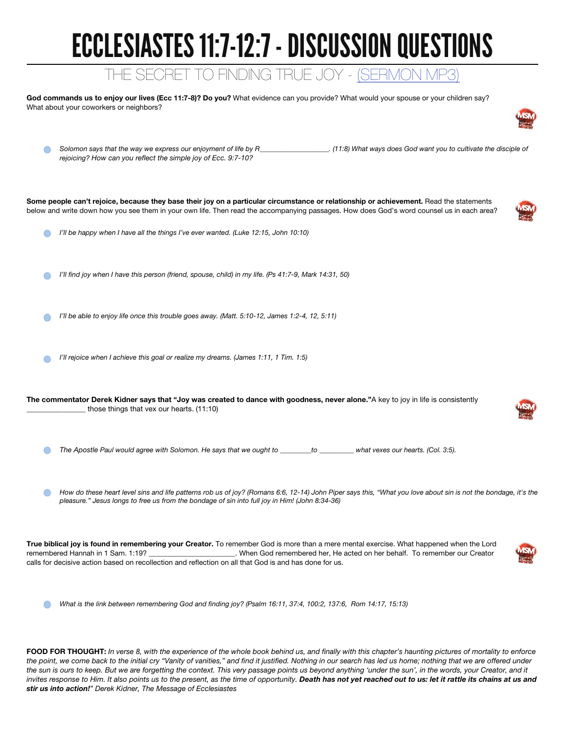## ECCLESIASTES 11:7-12:7 - DISCUSSION QUESTIONS

## THE SECRET TO FINDING TRUE JOY - [\(SERMON MP3\)](http://www.gospelgracechurch.com/resources/sermon-audio/)

God commands us to enjoy our lives (Ecc 11:7-8)? Do you? What evidence can you provide? What would your spouse or your children say? What about your coworkers or neighbors?

| rejoicing? How can you reflect the simple joy of Ecc. 9:7-10?                                                                                                                                                                                                                                                                                                                              |                                                                                                                                                                |
|--------------------------------------------------------------------------------------------------------------------------------------------------------------------------------------------------------------------------------------------------------------------------------------------------------------------------------------------------------------------------------------------|----------------------------------------------------------------------------------------------------------------------------------------------------------------|
| Some people can't rejoice, because they base their joy on a particular circumstance or relationship or achievement. Read the statements<br>below and write down how you see them in your own life. Then read the accompanying passages. How does God's word counsel us in each area?                                                                                                       |                                                                                                                                                                |
| I'll be happy when I have all the things I've ever wanted. (Luke 12:15, John 10:10)                                                                                                                                                                                                                                                                                                        |                                                                                                                                                                |
| I'll find joy when I have this person (friend, spouse, child) in my life. (Ps 41:7-9, Mark 14:31, 50)                                                                                                                                                                                                                                                                                      |                                                                                                                                                                |
| I'll be able to enjoy life once this trouble goes away. (Matt. 5:10-12, James 1:2-4, 12, 5:11)                                                                                                                                                                                                                                                                                             |                                                                                                                                                                |
| I'll rejoice when I achieve this goal or realize my dreams. (James 1:11, 1 Tim. 1:5)                                                                                                                                                                                                                                                                                                       |                                                                                                                                                                |
| The commentator Derek Kidner says that "Joy was created to dance with goodness, never alone."A key to joy in life is consistently<br>those things that vex our hearts. (11:10)                                                                                                                                                                                                             |                                                                                                                                                                |
| The Apostle Paul would agree with Solomon. He says that we ought to ________to ________what vexes our hearts. (Col. 3:5).                                                                                                                                                                                                                                                                  |                                                                                                                                                                |
| pleasure." Jesus longs to free us from the bondage of sin into full joy in Him! (John 8:34-36)                                                                                                                                                                                                                                                                                             | How do these heart level sins and life patterns rob us of joy? (Romans 6:6, 12-14) John Piper says this, "What you love about sin is not the bondage, it's the |
| True biblical joy is found in remembering your Creator. To remember God is more than a mere mental exercise. What happened when the Lord<br>remembered Hannah in 1 Sam. 1:19? ________________________. When God remembered her, He acted on her behalf. To remember our Creator<br>calls for decisive action based on recollection and reflection on all that God is and has done for us. |                                                                                                                                                                |
| What is the link between remembering God and finding joy? (Psalm 16:11, 37:4, 100:2, 137:6, Rom 14:17, 15:13)                                                                                                                                                                                                                                                                              |                                                                                                                                                                |

FOOD FOR THOUGHT: *In verse 8, with the experience of the whole book behind us, and finally with this chapter's haunting pictures of mortality to enforce*  the point, we come back to the initial cry "Vanity of vanities," and find it justified. Nothing in our search has led us home; nothing that we are offered under *the sun is ours to keep. But we are forgetting the context. This very passage points us beyond anything 'under the sun', in the words, your Creator, and it*  invites response to Him. It also points us to the present, as the time of opportunity. Death has not yet reached out to us: let it rattle its chains at us and *stir us into action!" Derek Kidner, The Message of Ecclesiastes*